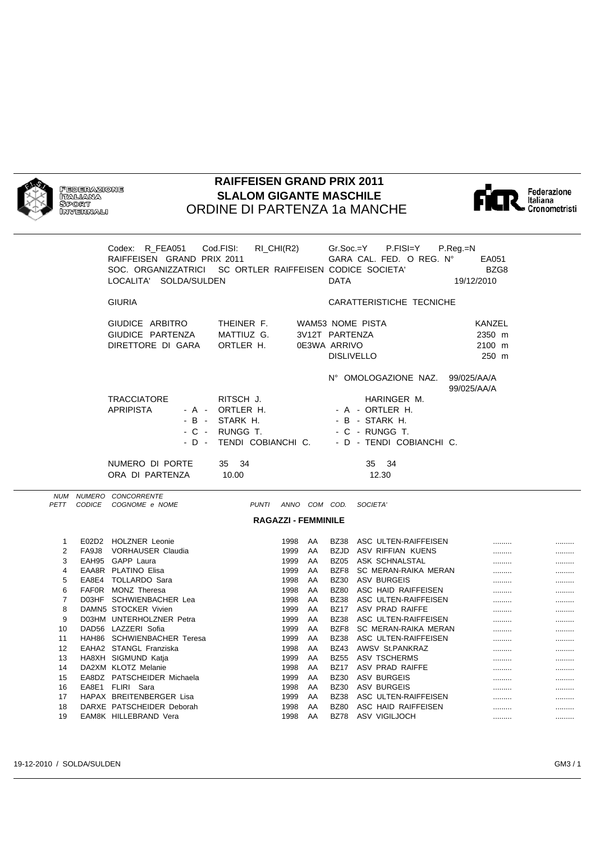

**FEDERAZIONE** ITALIANA 

## **RAIFFEISEN GRAND PRIX 2011 SLALOM GIGANTE MASCHILE** ORDINE DI PARTENZA 1a MANCHE



Federazione<br>Italiana<br>• Cronometristi

|                                                                                                          | Codex: R FEA051<br>RAIFFEISEN GRAND PRIX 2011<br>SOC. ORGANIZZATRICI  SC ORTLER RAIFFEISEN CODICE SOCIETA'<br>LOCALITA' SOLDA/SULDEN                                                                                                                                                                                         | Cod.FISI:<br>RI_CHI(R2)                                                                              |                                                                            | <b>DATA</b>                                       | $Gr.Soc.=Y$ P.FISI=Y<br>GARA CAL. FED. O REG. Nº                                                                                                                                                                                                                                                                             | $P_{\cdot}$ Reg $_{\cdot}$ =N<br>EA051<br>BZG8<br>19/12/2010 |                                              |                                                  |
|----------------------------------------------------------------------------------------------------------|------------------------------------------------------------------------------------------------------------------------------------------------------------------------------------------------------------------------------------------------------------------------------------------------------------------------------|------------------------------------------------------------------------------------------------------|----------------------------------------------------------------------------|---------------------------------------------------|------------------------------------------------------------------------------------------------------------------------------------------------------------------------------------------------------------------------------------------------------------------------------------------------------------------------------|--------------------------------------------------------------|----------------------------------------------|--------------------------------------------------|
|                                                                                                          | <b>GIURIA</b>                                                                                                                                                                                                                                                                                                                |                                                                                                      |                                                                            |                                                   | CARATTERISTICHE TECNICHE                                                                                                                                                                                                                                                                                                     |                                                              |                                              |                                                  |
|                                                                                                          | GIUDICE ARBITRO<br>GIUDICE PARTENZA<br>DIRETTORE DI GARA                                                                                                                                                                                                                                                                     | THEINER F.<br>MATTIUZ G.<br>ORTLER H.                                                                | 3V12T PARTENZA<br>0E3WA ARRIVO                                             | <b>DISLIVELLO</b>                                 | <b>WAM53 NOME PISTA</b>                                                                                                                                                                                                                                                                                                      | KANZEL<br>2350 m<br>2100 m<br>250 m                          |                                              |                                                  |
|                                                                                                          | <b>TRACCIATORE</b><br><b>APRIPISTA</b><br>- A -<br>$-B -$<br>- C -<br>- D -                                                                                                                                                                                                                                                  | RITSCH J.<br>ORTLER H.<br>STARK H.<br>RUNGG T.<br>TENDI COBIANCHI C.                                 |                                                                            |                                                   | N° OMOLOGAZIONE NAZ.<br>HARINGER M.<br>- A - ORTLER H.<br>- B - STARK H.<br>- C - RUNGG T.<br>- D - TENDI COBIANCHI C.                                                                                                                                                                                                       | 99/025/AA/A<br>99/025/AA/A                                   |                                              |                                                  |
|                                                                                                          | NUMERO DI PORTE<br>ORA DI PARTENZA                                                                                                                                                                                                                                                                                           | 35 34<br>10.00                                                                                       |                                                                            |                                                   | 35 34<br>12.30                                                                                                                                                                                                                                                                                                               |                                                              |                                              |                                                  |
| PETT                                                                                                     | NUM NUMERO CONCORRENTE<br>CODICE COGNOME e NOME                                                                                                                                                                                                                                                                              | <b>PUNTI</b><br><b>RAGAZZI - FEMMINILE</b>                                                           | ANNO COM COD.                                                              |                                                   | SOCIETA'                                                                                                                                                                                                                                                                                                                     |                                                              |                                              |                                                  |
| 1<br>$\overline{2}$<br>3<br>$\overline{4}$<br>5<br>6<br>$\overline{7}$<br>8<br>9<br>10<br>11<br>12<br>13 | E02D2 HOLZNER Leonie<br>FA9J8 VORHAUSER Claudia<br>EAH95 GAPP Laura<br>EAA8R PLATINO Elisa<br>EA8E4 TOLLARDO Sara<br>FAFOR MONZ Theresa<br>D03HF SCHWIENBACHER Lea<br>DAMN5 STOCKER Vivien<br>D03HM UNTERHOLZNER Petra<br>DAD56 LAZZERI Sofia<br>HAH86 SCHWIENBACHER Teresa<br>EAHA2 STANGL Franziska<br>HA8XH SIGMUND Katja | 1998<br>1999<br>1999<br>1999<br>1998<br>1998<br>1998<br>1999<br>1999<br>1999<br>1999<br>1998<br>1999 | AA<br>AA<br>AA<br>AA<br>AA<br>AA<br>AA<br>AA<br>AA<br>AA<br>AA<br>AA<br>AA | <b>BZ80</b><br>BZ17<br><b>BZ38</b><br><b>BZ43</b> | BZ38 ASC ULTEN-RAIFFEISEN<br>BZJD ASV RIFFIAN KUENS<br>BZ05 ASK SCHNALSTAL<br>BZF8 SC MERAN-RAIKA MERAN<br>BZ30 ASV BURGEIS<br>ASC HAID RAIFFEISEN<br>BZ38 ASC ULTEN-RAIFFEISEN<br>ASV PRAD RAIFFE<br>BZ38 ASC ULTEN-RAIFFEISEN<br>BZF8 SC MERAN-RAIKA MERAN<br>ASC ULTEN-RAIFFEISEN<br>AWSV St.PANKRAZ<br>BZ55 ASV TSCHERMS |                                                              | <br><br>.<br>.<br>.<br><br><br>.<br><br><br> | .<br>.<br><br>.<br>.<br>.<br>.<br>.<br><br>.<br> |
| 14                                                                                                       | DA2XM KLOTZ Melanie                                                                                                                                                                                                                                                                                                          | 1998                                                                                                 | AA                                                                         |                                                   | BZ17 ASV PRAD RAIFFE                                                                                                                                                                                                                                                                                                         |                                                              |                                              |                                                  |

15 EA8DZ PATSCHEIDER Michaela 1999 AA BZ30 ASV BURGEIS ......... ......... 16 EA8E1 FLIRI Sara 1998 AA BZ30 ASV BURGEIS ......... ......... 17 HAPAX BREITENBERGER Lisa 1999 AA BZ38 ASC ULTEN-RAIFFEISEN ......... ......... 18 DARXE PATSCHEIDER Deborah 1998 AA BZ80 ASC HAID RAIFFEISEN ......... ......... 19 EAM8K HILLEBRAND Vera 1998 AA BZ78 ASV VIGILJOCH ......... .........

14 DA2XM KLOTZ Melanie 1998 AA BZ17 ASV PRAD RAIFFE ......... .........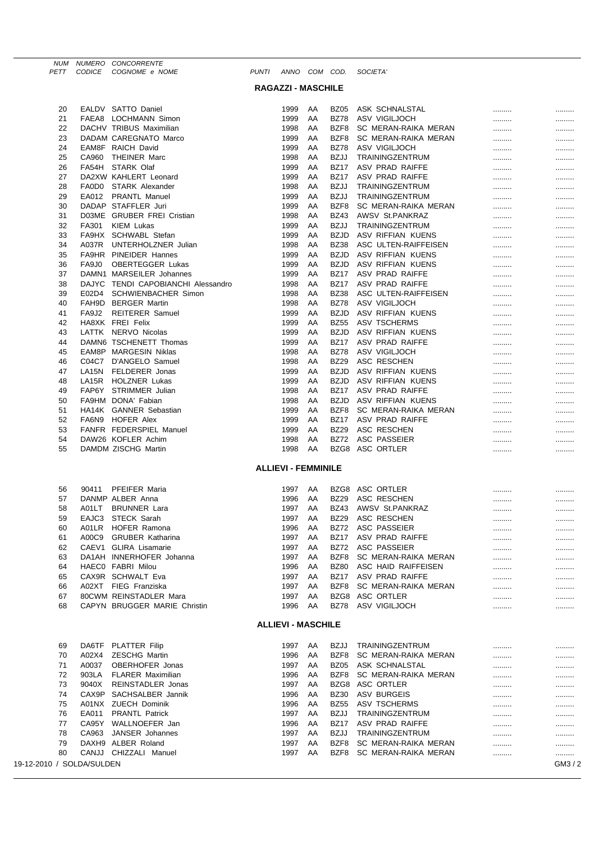|          | <b>CODICE</b> | NUM NUMERO CONCORRENTE<br>COGNOME e NOME     | <b>PUNTI</b> | ANNO COM COD.              |          |                            |                                      |        |      |
|----------|---------------|----------------------------------------------|--------------|----------------------------|----------|----------------------------|--------------------------------------|--------|------|
| PETT     |               |                                              |              |                            |          |                            | <b>SOCIETA</b>                       |        |      |
|          |               |                                              |              | <b>RAGAZZI - MASCHILE</b>  |          |                            |                                      |        |      |
| 20       |               | EALDV SATTO Daniel                           |              | 1999                       | AA       | <b>BZ05</b>                | ASK SCHNALSTAL                       |        |      |
| 21       |               | FAEA8 LOCHMANN Simon                         |              | 1999                       | AA       | <b>BZ78</b>                | ASV VIGILJOCH                        | <br>   | <br> |
| 22       |               | DACHV TRIBUS Maximilian                      |              | 1998                       | AA       | BZF8                       | SC MERAN-RAIKA MERAN                 |        |      |
| 23       |               | DADAM CAREGNATO Marco                        |              | 1999                       | AA       | BZF8                       | SC MERAN-RAIKA MERAN                 | .      | .    |
| 24       |               | EAM8F RAICH David                            |              | 1999                       | AA       | <b>BZ78</b>                | ASV VIGILJOCH                        | .      | .    |
| 25       | CA960         | <b>THEINER Marc</b>                          |              | 1998                       | AA       | <b>BZJJ</b>                | TRAININGZENTRUM                      | .      |      |
| 26       |               | FA54H STARK Olaf                             |              | 1999                       | AA       | <b>BZ17</b>                | ASV PRAD RAIFFE                      | .      |      |
| 27       |               | DA2XW KAHLERT Leonard                        |              | 1999                       | AA       | <b>BZ17</b>                | ASV PRAD RAIFFE                      |        |      |
| 28       |               | FA0D0 STARK Alexander                        |              | 1998                       | AA       | <b>BZJJ</b>                | TRAININGZENTRUM                      |        |      |
| 29       |               | EA012 PRANTL Manuel                          |              | 1999                       | AA       | <b>BZJJ</b>                | TRAININGZENTRUM                      |        |      |
| 30       |               | DADAP STAFFLER Juri                          |              | 1999                       | AA       | BZF8                       | SC MERAN-RAIKA MERAN                 |        |      |
| 31<br>32 | FA301         | D03ME GRUBER FREI Cristian<br>KIEM Lukas     |              | 1998<br>1999               | AA<br>AA | <b>BZ43</b><br><b>BZJJ</b> | AWSV St.PANKRAZ<br>TRAININGZENTRUM   |        |      |
| 33       |               | FA9HX SCHWABL Stefan                         |              | 1999                       | AA       | <b>BZJD</b>                | ASV RIFFIAN KUENS                    |        |      |
| 34       |               | A037R UNTERHOLZNER Julian                    |              | 1998                       | AA       | <b>BZ38</b>                | ASC ULTEN-RAIFFEISEN                 | .<br>. | <br> |
| 35       |               | <b>FA9HR PINEIDER Hannes</b>                 |              | 1999                       | AA       | <b>BZJD</b>                | ASV RIFFIAN KUENS                    |        |      |
| 36       | FA9J0         | <b>OBERTEGGER Lukas</b>                      |              | 1999                       | AA       | <b>BZJD</b>                | ASV RIFFIAN KUENS                    |        |      |
| 37       |               | DAMN1 MARSEILER Johannes                     |              | 1999                       | AA       | <b>BZ17</b>                | ASV PRAD RAIFFE                      |        |      |
| 38       |               | DAJYC TENDI CAPOBIANCHI Alessandro           |              | 1998                       | AA       | <b>BZ17</b>                | ASV PRAD RAIFFE                      |        |      |
| 39       | E02D4         | <b>SCHWIENBACHER Simon</b>                   |              | 1998                       | AA       | <b>BZ38</b>                | ASC ULTEN-RAIFFEISEN                 |        |      |
| 40       |               | FAH9D BERGER Martin                          |              | 1998                       | AA       | <b>BZ78</b>                | ASV VIGILJOCH                        |        |      |
| 41       | FA9J2         | <b>REITERER Samuel</b>                       |              | 1999                       | AA       | <b>BZJD</b>                | ASV RIFFIAN KUENS                    |        |      |
| 42<br>43 |               | HA8XK FREI Felix<br>LATTK NERVO Nicolas      |              | 1999<br>1999               | AA       | <b>BZ55</b><br><b>BZJD</b> | ASV TSCHERMS                         |        |      |
| 44       |               | DAMN6 TSCHENETT Thomas                       |              | 1999                       | AA<br>AA | <b>BZ17</b>                | ASV RIFFIAN KUENS<br>ASV PRAD RAIFFE |        |      |
| 45       |               | EAM8P MARGESIN Niklas                        |              | 1998                       | AA       | <b>BZ78</b>                | ASV VIGILJOCH                        | <br>   | <br> |
| 46       | C04C7         | D'ANGELO Samuel                              |              | 1998                       | AA       | <b>BZ29</b>                | ASC RESCHEN                          |        |      |
| 47       | LA15N         | FELDERER Jonas                               |              | 1999                       | AA       | <b>BZJD</b>                | ASV RIFFIAN KUENS                    |        |      |
| 48       | LA15R         | <b>HOLZNER Lukas</b>                         |              | 1999                       | AA       | <b>BZJD</b>                | ASV RIFFIAN KUENS                    |        |      |
| 49       |               | FAP6Y STRIMMER Julian                        |              | 1998                       | AA       | <b>BZ17</b>                | ASV PRAD RAIFFE                      |        |      |
| 50       |               | FA9HM DONA' Fabian                           |              | 1998                       | AA       | <b>BZJD</b>                | ASV RIFFIAN KUENS                    |        |      |
| 51       |               | HA14K GANNER Sebastian                       |              | 1999                       | AA       | BZF8                       | SC MERAN-RAIKA MERAN                 |        |      |
| 52       |               | FA6N9 HOFER Alex                             |              | 1999                       | AA       | <b>BZ17</b>                | ASV PRAD RAIFFE                      |        |      |
| 53       |               | FANFR FEDERSPIEL Manuel                      |              | 1999                       | AA       | <b>BZ29</b>                | ASC RESCHEN                          |        |      |
| 54<br>55 |               | DAW26 KOFLER Achim<br>DAMDM ZISCHG Martin    |              | 1998<br>1998               | AA<br>AA | <b>BZ72</b>                | ASC PASSEIER<br>BZG8 ASC ORTLER      | .      |      |
|          |               |                                              |              |                            |          |                            |                                      | .      |      |
|          |               |                                              |              | <b>ALLIEVI - FEMMINILE</b> |          |                            |                                      |        |      |
|          |               |                                              |              |                            |          |                            |                                      |        |      |
| 56       | 90411         | PFEIFER Maria                                |              | 1997                       | AA       | BZG8                       | ASC ORTLER                           |        |      |
| 57<br>58 |               | DANMP ALBER Anna<br>A01LT BRUNNER Lara       |              | 1996<br>1997               | AA<br>AA | <b>BZ29</b><br><b>BZ43</b> | ASC RESCHEN<br>AWSV St.PANKRAZ       |        |      |
| 59       |               | EAJC3 STECK Sarah                            |              | 1997                       | AA       | <b>BZ29</b>                | ASC RESCHEN                          |        |      |
| 60       |               | A01LR HOFER Ramona                           |              | 1996                       | AA       | <b>BZ72</b>                | ASC PASSEIER                         | <br>.  | <br> |
| 61       |               | A00C9 GRUBER Katharina                       |              | 1997                       | AA       | <b>BZ17</b>                | ASV PRAD RAIFFE                      |        |      |
| 62       |               | CAEV1 GLIRA Lisamarie                        |              | 1997                       | AA       | <b>BZ72</b>                | ASC PASSEIER                         |        |      |
| 63       |               | DA1AH INNERHOFER Johanna                     |              | 1997                       | AA       | BZF8                       | SC MERAN-RAIKA MERAN                 |        |      |
| 64       |               | HAEC0 FABRI Milou                            |              | 1996                       | AA       | <b>BZ80</b>                | ASC HAID RAIFFEISEN                  |        |      |
| 65       |               | CAX9R SCHWALT Eva                            |              | 1997                       | AA       | <b>BZ17</b>                | ASV PRAD RAIFFE                      |        |      |
| 66       |               | A02XT FIEG Franziska                         |              | 1997                       | AA       | BZF8                       | SC MERAN-RAIKA MERAN                 | .      |      |
| 67       |               | 80CWM REINSTADLER Mara                       |              | 1997                       | AA       |                            | BZG8 ASC ORTLER                      |        |      |
| 68       |               | CAPYN BRUGGER MARIE Christin                 |              | 1996                       | AA       | <b>BZ78</b>                | ASV VIGILJOCH                        | .      |      |
|          |               |                                              |              | <b>ALLIEVI - MASCHILE</b>  |          |                            |                                      |        |      |
|          |               |                                              |              |                            |          |                            |                                      |        |      |
| 69       |               | DA6TF PLATTER Filip                          |              | 1997                       | AA       | <b>BZJJ</b>                | TRAININGZENTRUM                      |        |      |
| 70       | A02X4         | <b>ZESCHG Martin</b>                         |              | 1996                       | AA       | BZF8                       | SC MERAN-RAIKA MERAN                 |        |      |
| 71       | A0037         | OBERHOFER Jonas                              |              | 1997                       | AA       | BZ <sub>05</sub>           | ASK SCHNALSTAL                       |        |      |
| 72       | 903LA         | <b>FLARER Maximilian</b>                     |              | 1996                       | AA       | BZF8<br>BZG8               | SC MERAN-RAIKA MERAN                 |        |      |
| 73<br>74 | 9040X         | REINSTADLER Jonas<br>CAX9P SACHSALBER Jannik |              | 1997<br>1996               | AA<br>AA | <b>BZ30</b>                | ASC ORTLER<br><b>ASV BURGEIS</b>     | .      |      |
| 75       |               | A01NX ZUECH Dominik                          |              | 1996                       | AA       | <b>BZ55</b>                | ASV TSCHERMS                         | .<br>  | <br> |
| 76       |               | EA011 PRANTL Patrick                         |              | 1997                       | AA       | <b>BZJJ</b>                | TRAININGZENTRUM                      |        |      |

77 CA95Y WALLNOEFER Jan 1996 AA BZ17 ASV PRAD RAIFFE ......... ......... 78 CA963 JANSER Johannes 1997 AA BZJJ TRAININGZENTRUM ......... .........

79 DAXH9 ALBER Roland 1997 AA BZF8 SC MERAN-RAIKA MERAN ......... ......... 80 CANJJ CHIZZALI Manuel 1997 AA BZF8 SC MERAN-RAIKA MERAN ......... .........

19-12-2010 / SOLDA/SULDEN GM3 / 2